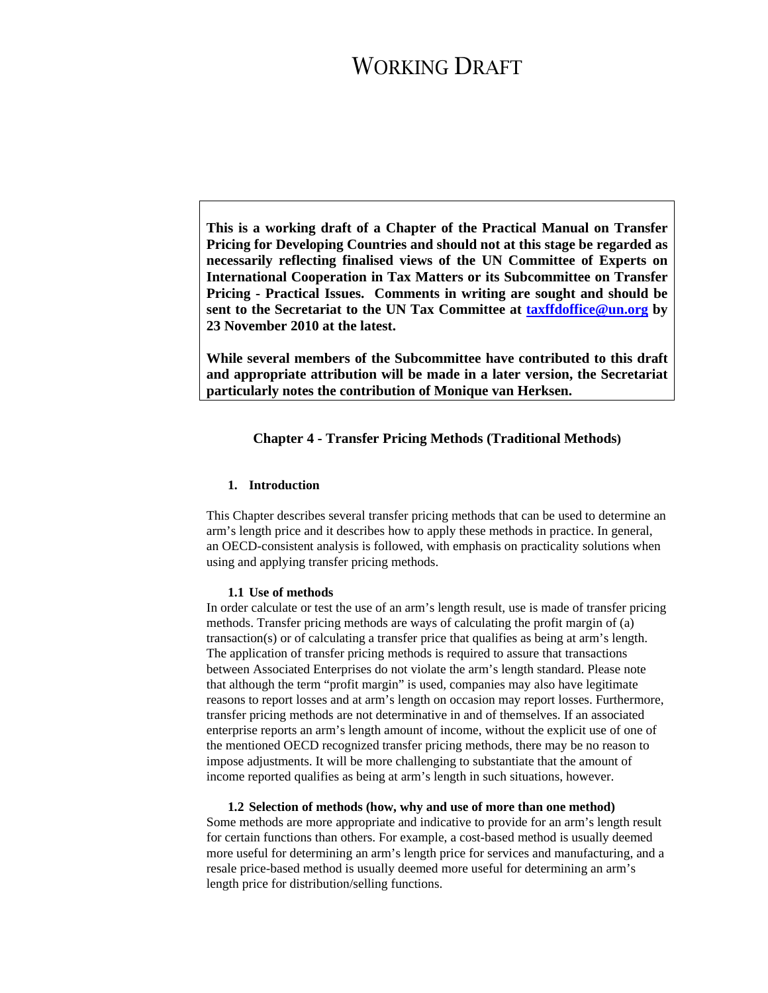**This is a working draft of a Chapter of the Practical Manual on Transfer Pricing for Developing Countries and should not at this stage be regarded as necessarily reflecting finalised views of the UN Committee of Experts on International Cooperation in Tax Matters or its Subcommittee on Transfer Pricing - Practical Issues. Comments in writing are sought and should be sent to the Secretariat to the UN Tax Committee at taxffdoffice@un.org by 23 November 2010 at the latest.** 

**While several members of the Subcommittee have contributed to this draft and appropriate attribution will be made in a later version, the Secretariat particularly notes the contribution of Monique van Herksen.** 

### **Chapter 4 - Transfer Pricing Methods (Traditional Methods)**

### **1. Introduction**

This Chapter describes several transfer pricing methods that can be used to determine an arm's length price and it describes how to apply these methods in practice. In general, an OECD-consistent analysis is followed, with emphasis on practicality solutions when using and applying transfer pricing methods.

#### **1.1 Use of methods**

In order calculate or test the use of an arm's length result, use is made of transfer pricing methods. Transfer pricing methods are ways of calculating the profit margin of (a) transaction(s) or of calculating a transfer price that qualifies as being at arm's length. The application of transfer pricing methods is required to assure that transactions between Associated Enterprises do not violate the arm's length standard. Please note that although the term "profit margin" is used, companies may also have legitimate reasons to report losses and at arm's length on occasion may report losses. Furthermore, transfer pricing methods are not determinative in and of themselves. If an associated enterprise reports an arm's length amount of income, without the explicit use of one of the mentioned OECD recognized transfer pricing methods, there may be no reason to impose adjustments. It will be more challenging to substantiate that the amount of income reported qualifies as being at arm's length in such situations, however.

**1.2 Selection of methods (how, why and use of more than one method)**  Some methods are more appropriate and indicative to provide for an arm's length result for certain functions than others. For example, a cost-based method is usually deemed more useful for determining an arm's length price for services and manufacturing, and a resale price-based method is usually deemed more useful for determining an arm's length price for distribution/selling functions.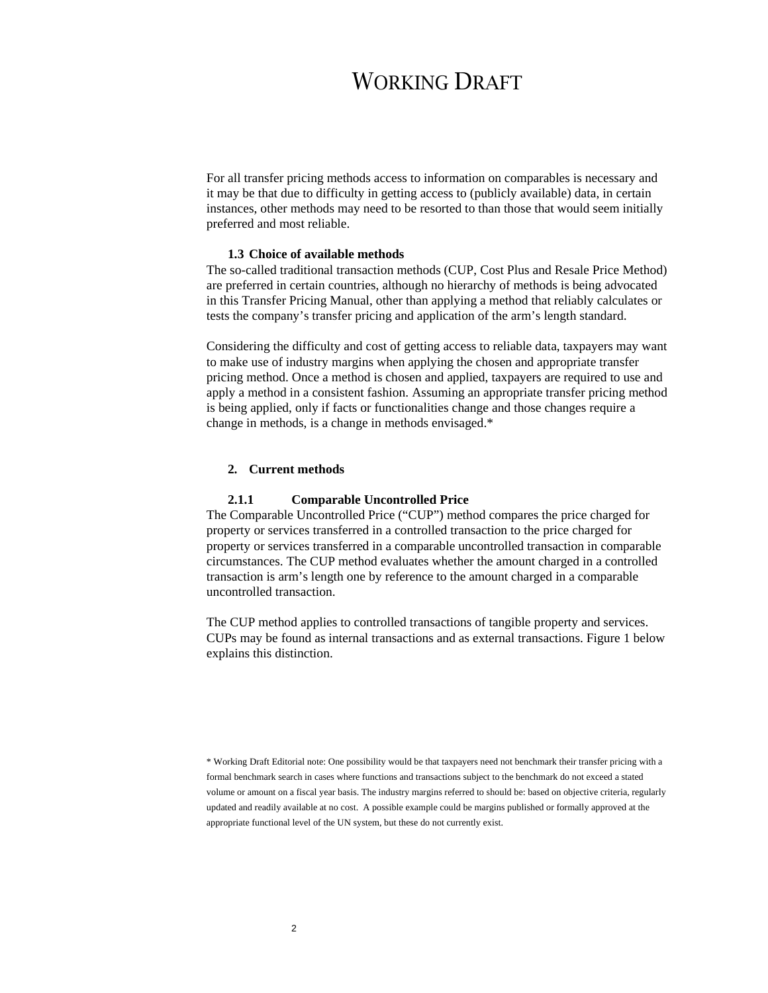For all transfer pricing methods access to information on comparables is necessary and it may be that due to difficulty in getting access to (publicly available) data, in certain instances, other methods may need to be resorted to than those that would seem initially preferred and most reliable.

### **1.3 Choice of available methods**

The so-called traditional transaction methods (CUP, Cost Plus and Resale Price Method) are preferred in certain countries, although no hierarchy of methods is being advocated in this Transfer Pricing Manual, other than applying a method that reliably calculates or tests the company's transfer pricing and application of the arm's length standard.

Considering the difficulty and cost of getting access to reliable data, taxpayers may want to make use of industry margins when applying the chosen and appropriate transfer pricing method. Once a method is chosen and applied, taxpayers are required to use and apply a method in a consistent fashion. Assuming an appropriate transfer pricing method is being applied, only if facts or functionalities change and those changes require a change in methods, is a change in methods envisaged.\*

### **2. Current methods**

#### **2.1.1 Comparable Uncontrolled Price**

The Comparable Uncontrolled Price ("CUP") method compares the price charged for property or services transferred in a controlled transaction to the price charged for property or services transferred in a comparable uncontrolled transaction in comparable circumstances. The CUP method evaluates whether the amount charged in a controlled transaction is arm's length one by reference to the amount charged in a comparable uncontrolled transaction.

The CUP method applies to controlled transactions of tangible property and services. CUPs may be found as internal transactions and as external transactions. Figure 1 below explains this distinction.

\* Working Draft Editorial note: One possibility would be that taxpayers need not benchmark their transfer pricing with a formal benchmark search in cases where functions and transactions subject to the benchmark do not exceed a stated volume or amount on a fiscal year basis. The industry margins referred to should be: based on objective criteria, regularly updated and readily available at no cost. A possible example could be margins published or formally approved at the appropriate functional level of the UN system, but these do not currently exist.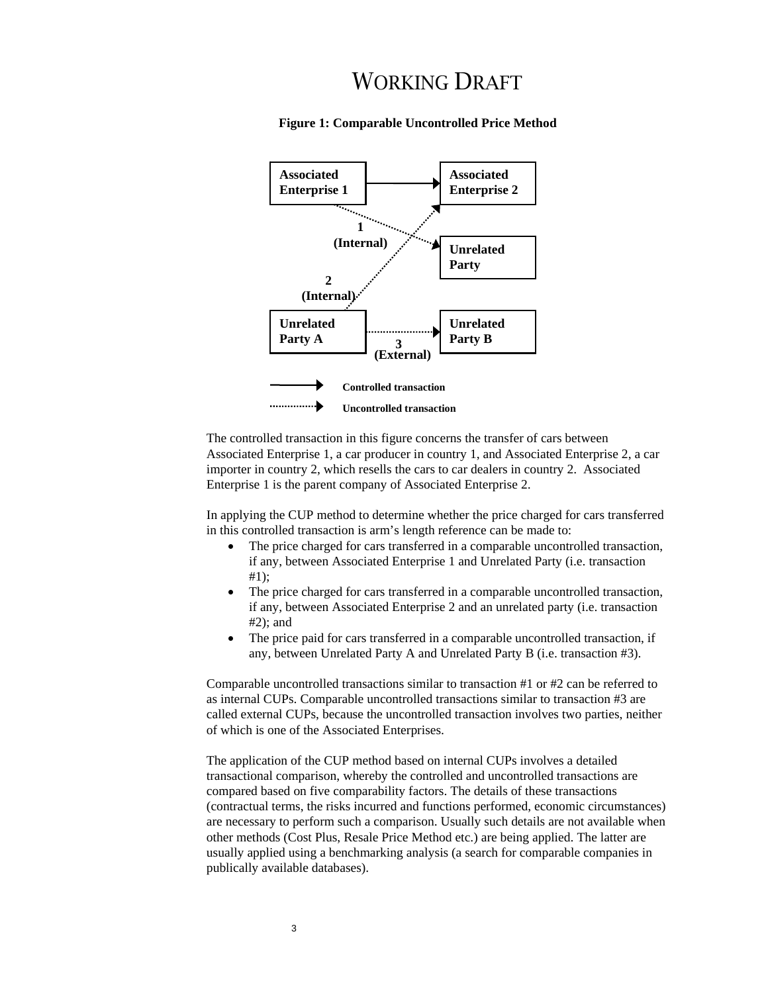

**Figure 1: Comparable Uncontrolled Price Method** 

The controlled transaction in this figure concerns the transfer of cars between Associated Enterprise 1, a car producer in country 1, and Associated Enterprise 2, a car importer in country 2, which resells the cars to car dealers in country 2. Associated Enterprise 1 is the parent company of Associated Enterprise 2.

In applying the CUP method to determine whether the price charged for cars transferred in this controlled transaction is arm's length reference can be made to:

- The price charged for cars transferred in a comparable uncontrolled transaction, if any, between Associated Enterprise 1 and Unrelated Party (i.e. transaction #1);
- The price charged for cars transferred in a comparable uncontrolled transaction, if any, between Associated Enterprise 2 and an unrelated party (i.e. transaction #2); and
- The price paid for cars transferred in a comparable uncontrolled transaction, if any, between Unrelated Party A and Unrelated Party B (i.e. transaction #3).

Comparable uncontrolled transactions similar to transaction #1 or #2 can be referred to as internal CUPs. Comparable uncontrolled transactions similar to transaction #3 are called external CUPs, because the uncontrolled transaction involves two parties, neither of which is one of the Associated Enterprises.

The application of the CUP method based on internal CUPs involves a detailed transactional comparison, whereby the controlled and uncontrolled transactions are compared based on five comparability factors. The details of these transactions (contractual terms, the risks incurred and functions performed, economic circumstances) are necessary to perform such a comparison. Usually such details are not available when other methods (Cost Plus, Resale Price Method etc.) are being applied. The latter are usually applied using a benchmarking analysis (a search for comparable companies in publically available databases).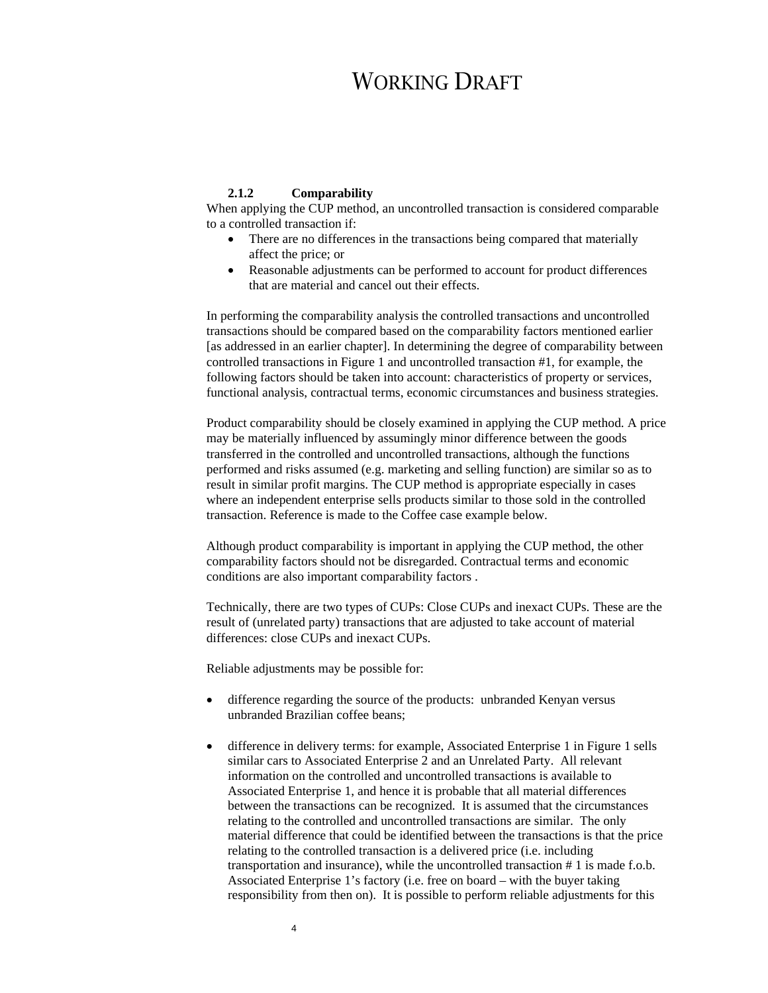### **2.1.2 Comparability**

When applying the CUP method, an uncontrolled transaction is considered comparable to a controlled transaction if:

- There are no differences in the transactions being compared that materially affect the price; or
- Reasonable adjustments can be performed to account for product differences that are material and cancel out their effects.

In performing the comparability analysis the controlled transactions and uncontrolled transactions should be compared based on the comparability factors mentioned earlier [as addressed in an earlier chapter]. In determining the degree of comparability between controlled transactions in Figure 1 and uncontrolled transaction #1, for example, the following factors should be taken into account: characteristics of property or services, functional analysis, contractual terms, economic circumstances and business strategies.

Product comparability should be closely examined in applying the CUP method. A price may be materially influenced by assumingly minor difference between the goods transferred in the controlled and uncontrolled transactions, although the functions performed and risks assumed (e.g. marketing and selling function) are similar so as to result in similar profit margins. The CUP method is appropriate especially in cases where an independent enterprise sells products similar to those sold in the controlled transaction. Reference is made to the Coffee case example below.

Although product comparability is important in applying the CUP method, the other comparability factors should not be disregarded. Contractual terms and economic conditions are also important comparability factors .

Technically, there are two types of CUPs: Close CUPs and inexact CUPs. These are the result of (unrelated party) transactions that are adjusted to take account of material differences: close CUPs and inexact CUPs.

Reliable adjustments may be possible for:

- difference regarding the source of the products: unbranded Kenyan versus unbranded Brazilian coffee beans;
- difference in delivery terms: for example, Associated Enterprise 1 in Figure 1 sells similar cars to Associated Enterprise 2 and an Unrelated Party. All relevant information on the controlled and uncontrolled transactions is available to Associated Enterprise 1, and hence it is probable that all material differences between the transactions can be recognized. It is assumed that the circumstances relating to the controlled and uncontrolled transactions are similar. The only material difference that could be identified between the transactions is that the price relating to the controlled transaction is a delivered price (i.e. including transportation and insurance), while the uncontrolled transaction # 1 is made f.o.b. Associated Enterprise 1's factory (i.e. free on board – with the buyer taking responsibility from then on). It is possible to perform reliable adjustments for this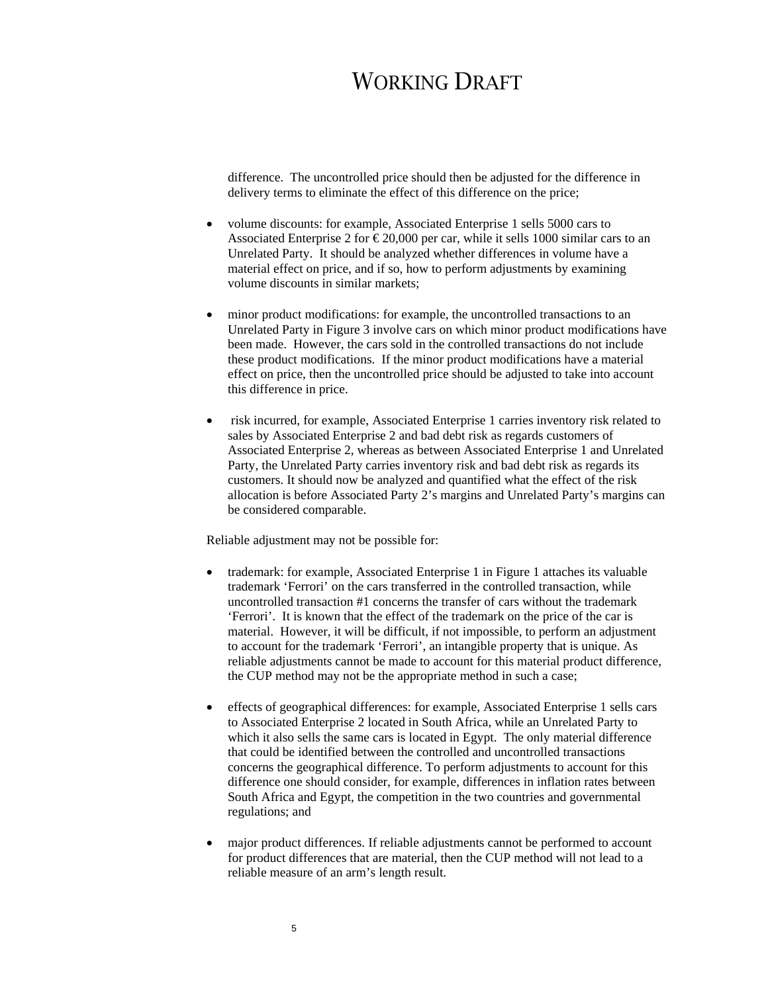difference. The uncontrolled price should then be adjusted for the difference in delivery terms to eliminate the effect of this difference on the price;

- volume discounts: for example, Associated Enterprise 1 sells 5000 cars to Associated Enterprise 2 for  $\epsilon$ 20,000 per car, while it sells 1000 similar cars to an Unrelated Party. It should be analyzed whether differences in volume have a material effect on price, and if so, how to perform adjustments by examining volume discounts in similar markets;
- minor product modifications: for example, the uncontrolled transactions to an Unrelated Party in Figure 3 involve cars on which minor product modifications have been made. However, the cars sold in the controlled transactions do not include these product modifications. If the minor product modifications have a material effect on price, then the uncontrolled price should be adjusted to take into account this difference in price.
- risk incurred, for example, Associated Enterprise 1 carries inventory risk related to sales by Associated Enterprise 2 and bad debt risk as regards customers of Associated Enterprise 2, whereas as between Associated Enterprise 1 and Unrelated Party, the Unrelated Party carries inventory risk and bad debt risk as regards its customers. It should now be analyzed and quantified what the effect of the risk allocation is before Associated Party 2's margins and Unrelated Party's margins can be considered comparable.

Reliable adjustment may not be possible for:

- trademark: for example, Associated Enterprise 1 in Figure 1 attaches its valuable trademark 'Ferrori' on the cars transferred in the controlled transaction, while uncontrolled transaction #1 concerns the transfer of cars without the trademark 'Ferrori'. It is known that the effect of the trademark on the price of the car is material. However, it will be difficult, if not impossible, to perform an adjustment to account for the trademark 'Ferrori', an intangible property that is unique. As reliable adjustments cannot be made to account for this material product difference, the CUP method may not be the appropriate method in such a case;
- effects of geographical differences: for example, Associated Enterprise 1 sells cars to Associated Enterprise 2 located in South Africa, while an Unrelated Party to which it also sells the same cars is located in Egypt. The only material difference that could be identified between the controlled and uncontrolled transactions concerns the geographical difference. To perform adjustments to account for this difference one should consider, for example, differences in inflation rates between South Africa and Egypt, the competition in the two countries and governmental regulations; and
- major product differences. If reliable adjustments cannot be performed to account for product differences that are material, then the CUP method will not lead to a reliable measure of an arm's length result.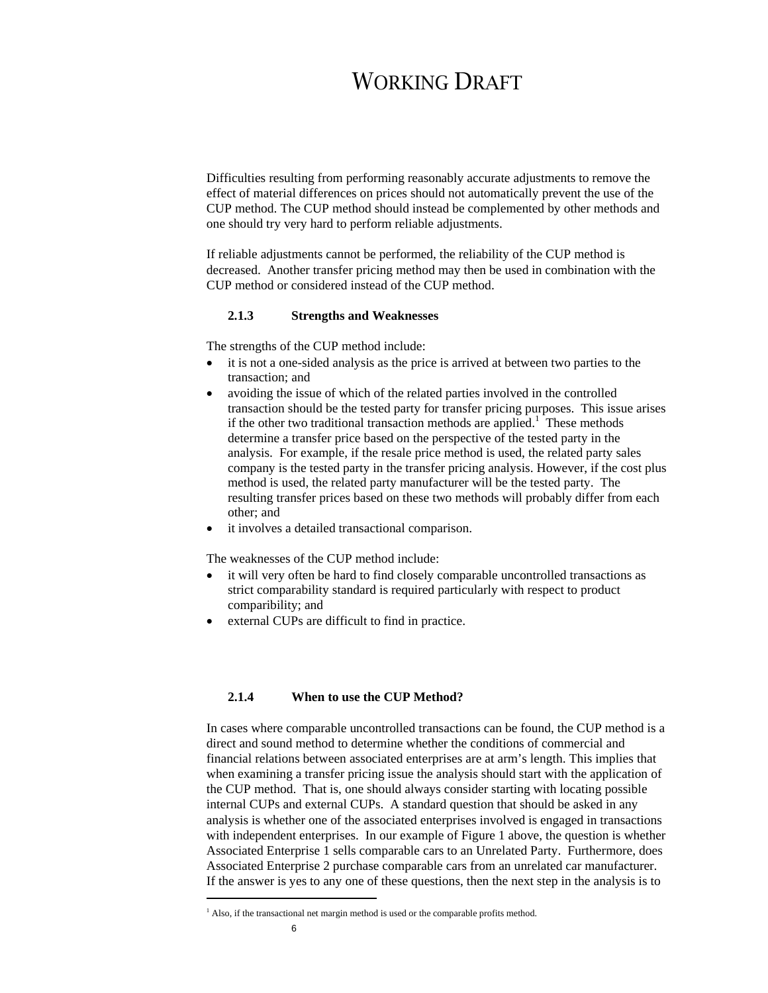Difficulties resulting from performing reasonably accurate adjustments to remove the effect of material differences on prices should not automatically prevent the use of the CUP method. The CUP method should instead be complemented by other methods and one should try very hard to perform reliable adjustments.

If reliable adjustments cannot be performed, the reliability of the CUP method is decreased. Another transfer pricing method may then be used in combination with the CUP method or considered instead of the CUP method.

### **2.1.3 Strengths and Weaknesses**

The strengths of the CUP method include:

- it is not a one-sided analysis as the price is arrived at between two parties to the transaction; and
- avoiding the issue of which of the related parties involved in the controlled transaction should be the tested party for transfer pricing purposes. This issue arises if the other two traditional transaction methods are applied.<sup>1</sup> These methods determine a transfer price based on the perspective of the tested party in the analysis. For example, if the resale price method is used, the related party sales company is the tested party in the transfer pricing analysis. However, if the cost plus method is used, the related party manufacturer will be the tested party. The resulting transfer prices based on these two methods will probably differ from each other; and
- it involves a detailed transactional comparison.

The weaknesses of the CUP method include:

- it will very often be hard to find closely comparable uncontrolled transactions as strict comparability standard is required particularly with respect to product comparibility; and
- external CUPs are difficult to find in practice.

### **2.1.4 When to use the CUP Method?**

In cases where comparable uncontrolled transactions can be found, the CUP method is a direct and sound method to determine whether the conditions of commercial and financial relations between associated enterprises are at arm's length. This implies that when examining a transfer pricing issue the analysis should start with the application of the CUP method. That is, one should always consider starting with locating possible internal CUPs and external CUPs. A standard question that should be asked in any analysis is whether one of the associated enterprises involved is engaged in transactions with independent enterprises. In our example of Figure 1 above, the question is whether Associated Enterprise 1 sells comparable cars to an Unrelated Party. Furthermore, does Associated Enterprise 2 purchase comparable cars from an unrelated car manufacturer. If the answer is yes to any one of these questions, then the next step in the analysis is to

 $\overline{a}$ 

 $<sup>1</sup>$  Also, if the transactional net margin method is used or the comparable profits method.</sup>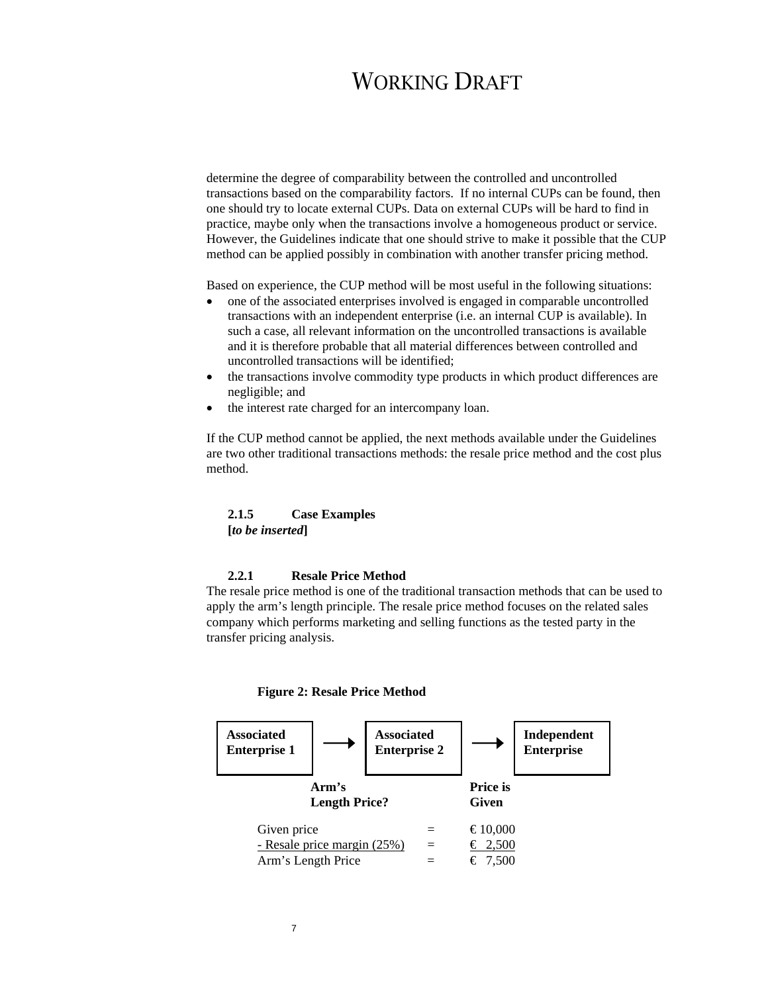determine the degree of comparability between the controlled and uncontrolled transactions based on the comparability factors. If no internal CUPs can be found, then one should try to locate external CUPs. Data on external CUPs will be hard to find in practice, maybe only when the transactions involve a homogeneous product or service. However, the Guidelines indicate that one should strive to make it possible that the CUP method can be applied possibly in combination with another transfer pricing method.

Based on experience, the CUP method will be most useful in the following situations:

- one of the associated enterprises involved is engaged in comparable uncontrolled transactions with an independent enterprise (i.e. an internal CUP is available). In such a case, all relevant information on the uncontrolled transactions is available and it is therefore probable that all material differences between controlled and uncontrolled transactions will be identified;
- the transactions involve commodity type products in which product differences are negligible; and
- the interest rate charged for an intercompany loan.

If the CUP method cannot be applied, the next methods available under the Guidelines are two other traditional transactions methods: the resale price method and the cost plus method.

### **2.1.5 Case Examples [***to be inserted***]**

#### **2.2.1 Resale Price Method**

The resale price method is one of the traditional transaction methods that can be used to apply the arm's length principle. The resale price method focuses on the related sales company which performs marketing and selling functions as the tested party in the transfer pricing analysis.



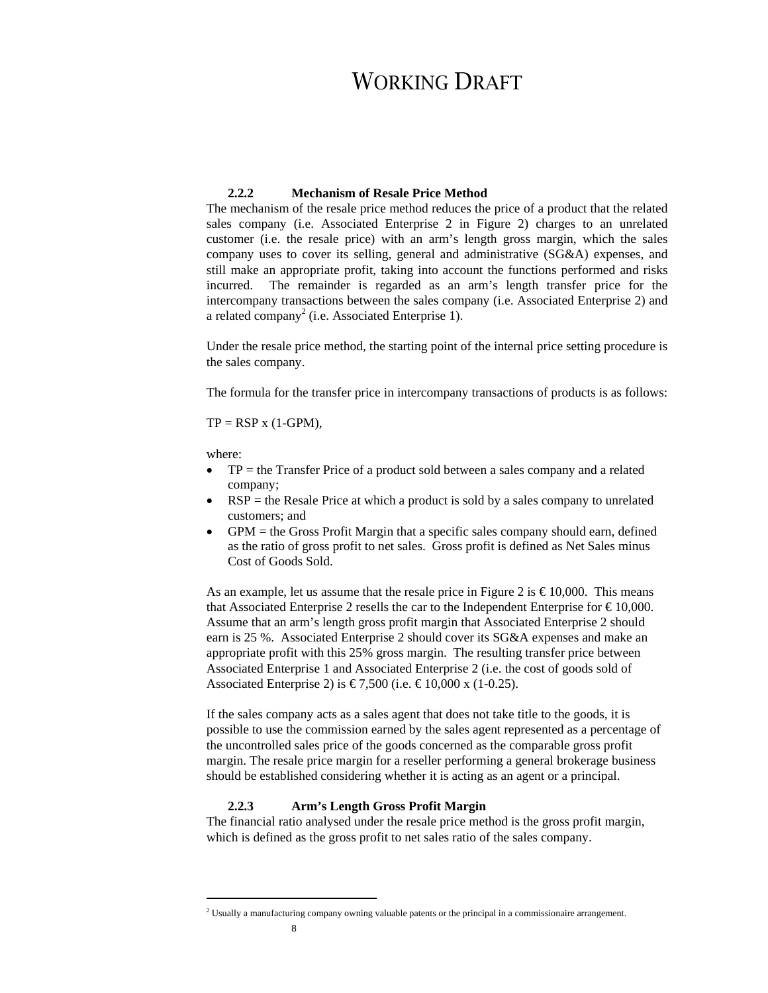### **2.2.2 Mechanism of Resale Price Method**

The mechanism of the resale price method reduces the price of a product that the related sales company (i.e. Associated Enterprise 2 in Figure 2) charges to an unrelated customer (i.e. the resale price) with an arm's length gross margin, which the sales company uses to cover its selling, general and administrative (SG&A) expenses, and still make an appropriate profit, taking into account the functions performed and risks incurred. The remainder is regarded as an arm's length transfer price for the intercompany transactions between the sales company (i.e. Associated Enterprise 2) and a related company<sup>2</sup> (i.e. Associated Enterprise 1).

Under the resale price method, the starting point of the internal price setting procedure is the sales company.

The formula for the transfer price in intercompany transactions of products is as follows:

 $TP = RSP x (1-GPM),$ 

where:

- TP = the Transfer Price of a product sold between a sales company and a related company;
- RSP = the Resale Price at which a product is sold by a sales company to unrelated customers; and
- GPM = the Gross Profit Margin that a specific sales company should earn, defined as the ratio of gross profit to net sales. Gross profit is defined as Net Sales minus Cost of Goods Sold.

As an example, let us assume that the resale price in Figure 2 is  $\text{\textsterling}10,000$ . This means that Associated Enterprise 2 resells the car to the Independent Enterprise for  $\text{\textsterling}10,000$ . Assume that an arm's length gross profit margin that Associated Enterprise 2 should earn is 25 %. Associated Enterprise 2 should cover its SG&A expenses and make an appropriate profit with this 25% gross margin. The resulting transfer price between Associated Enterprise 1 and Associated Enterprise 2 (i.e. the cost of goods sold of Associated Enterprise 2) is €7,500 (i.e. €10,000 x (1-0.25).

If the sales company acts as a sales agent that does not take title to the goods, it is possible to use the commission earned by the sales agent represented as a percentage of the uncontrolled sales price of the goods concerned as the comparable gross profit margin. The resale price margin for a reseller performing a general brokerage business should be established considering whether it is acting as an agent or a principal.

### **2.2.3 Arm's Length Gross Profit Margin**

The financial ratio analysed under the resale price method is the gross profit margin, which is defined as the gross profit to net sales ratio of the sales company.

 $\overline{a}$ 

<sup>&</sup>lt;sup>2</sup> Usually a manufacturing company owning valuable patents or the principal in a commissionaire arrangement.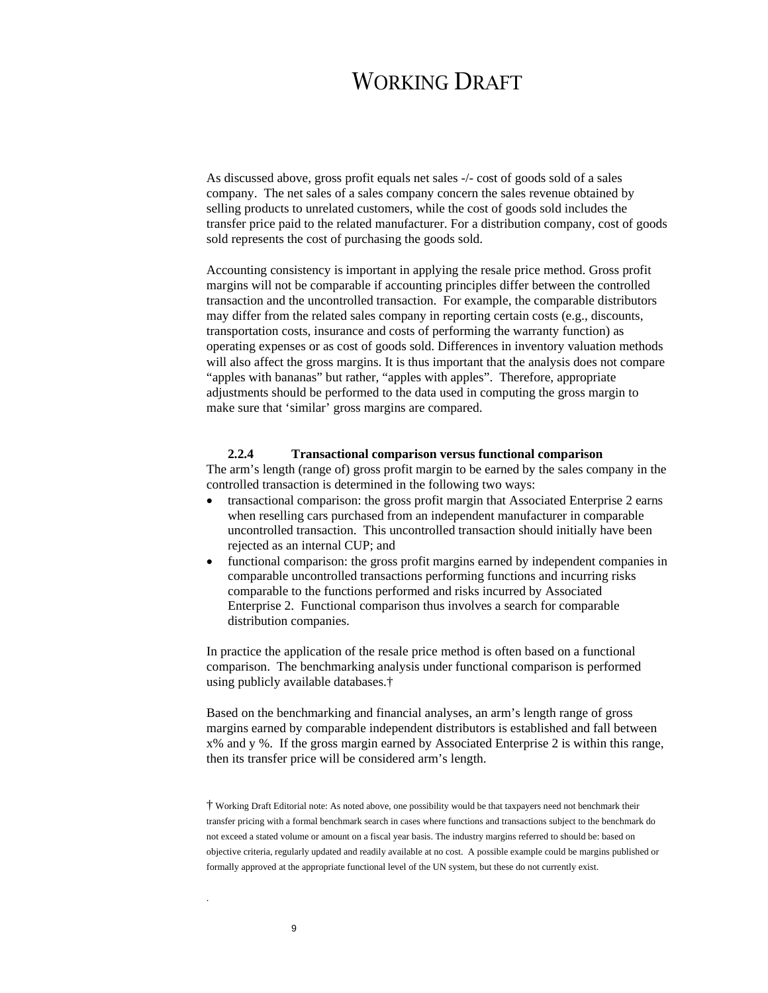As discussed above, gross profit equals net sales -/- cost of goods sold of a sales company. The net sales of a sales company concern the sales revenue obtained by selling products to unrelated customers, while the cost of goods sold includes the transfer price paid to the related manufacturer. For a distribution company, cost of goods sold represents the cost of purchasing the goods sold.

Accounting consistency is important in applying the resale price method. Gross profit margins will not be comparable if accounting principles differ between the controlled transaction and the uncontrolled transaction. For example, the comparable distributors may differ from the related sales company in reporting certain costs (e.g., discounts, transportation costs, insurance and costs of performing the warranty function) as operating expenses or as cost of goods sold. Differences in inventory valuation methods will also affect the gross margins. It is thus important that the analysis does not compare "apples with bananas" but rather, "apples with apples". Therefore, appropriate adjustments should be performed to the data used in computing the gross margin to make sure that 'similar' gross margins are compared.

### **2.2.4 Transactional comparison versus functional comparison**

The arm's length (range of) gross profit margin to be earned by the sales company in the controlled transaction is determined in the following two ways:

- transactional comparison: the gross profit margin that Associated Enterprise 2 earns when reselling cars purchased from an independent manufacturer in comparable uncontrolled transaction. This uncontrolled transaction should initially have been rejected as an internal CUP; and
- functional comparison: the gross profit margins earned by independent companies in comparable uncontrolled transactions performing functions and incurring risks comparable to the functions performed and risks incurred by Associated Enterprise 2. Functional comparison thus involves a search for comparable distribution companies.

In practice the application of the resale price method is often based on a functional comparison. The benchmarking analysis under functional comparison is performed using publicly available databases.†

Based on the benchmarking and financial analyses, an arm's length range of gross margins earned by comparable independent distributors is established and fall between x% and y %. If the gross margin earned by Associated Enterprise 2 is within this range, then its transfer price will be considered arm's length.

† Working Draft Editorial note: As noted above, one possibility would be that taxpayers need not benchmark their transfer pricing with a formal benchmark search in cases where functions and transactions subject to the benchmark do not exceed a stated volume or amount on a fiscal year basis. The industry margins referred to should be: based on objective criteria, regularly updated and readily available at no cost. A possible example could be margins published or formally approved at the appropriate functional level of the UN system, but these do not currently exist.

.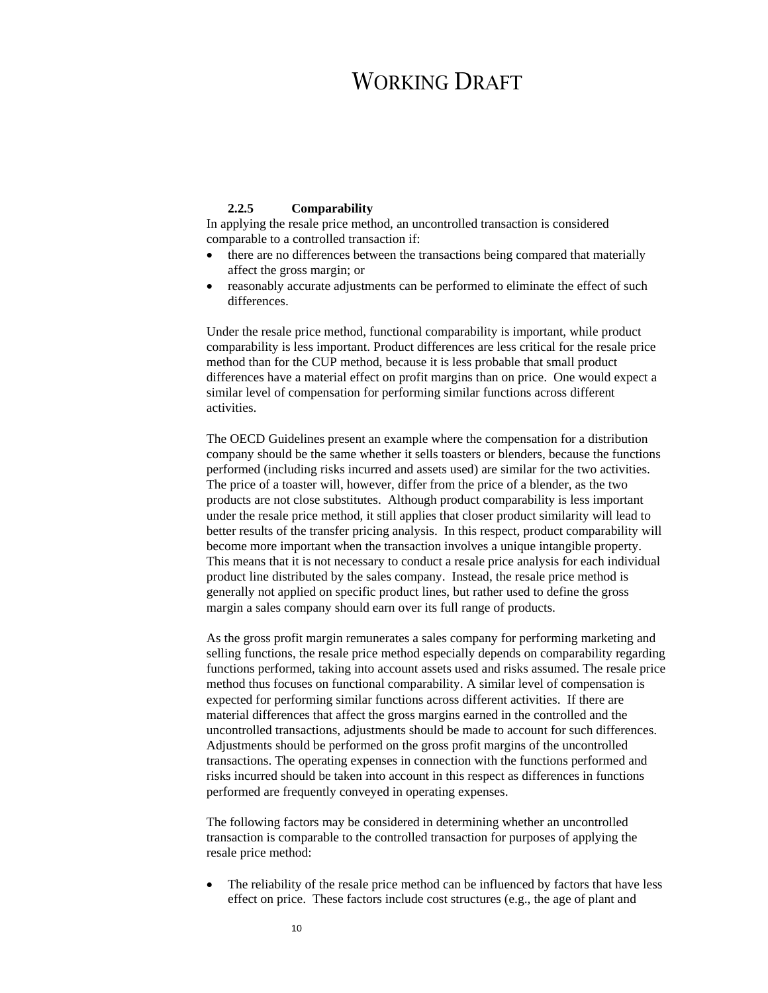### **2.2.5 Comparability**

In applying the resale price method, an uncontrolled transaction is considered comparable to a controlled transaction if:

- there are no differences between the transactions being compared that materially affect the gross margin; or
- reasonably accurate adjustments can be performed to eliminate the effect of such differences.

Under the resale price method, functional comparability is important, while product comparability is less important. Product differences are less critical for the resale price method than for the CUP method, because it is less probable that small product differences have a material effect on profit margins than on price. One would expect a similar level of compensation for performing similar functions across different activities.

The OECD Guidelines present an example where the compensation for a distribution company should be the same whether it sells toasters or blenders, because the functions performed (including risks incurred and assets used) are similar for the two activities. The price of a toaster will, however, differ from the price of a blender, as the two products are not close substitutes. Although product comparability is less important under the resale price method, it still applies that closer product similarity will lead to better results of the transfer pricing analysis. In this respect, product comparability will become more important when the transaction involves a unique intangible property. This means that it is not necessary to conduct a resale price analysis for each individual product line distributed by the sales company. Instead, the resale price method is generally not applied on specific product lines, but rather used to define the gross margin a sales company should earn over its full range of products.

As the gross profit margin remunerates a sales company for performing marketing and selling functions, the resale price method especially depends on comparability regarding functions performed, taking into account assets used and risks assumed. The resale price method thus focuses on functional comparability. A similar level of compensation is expected for performing similar functions across different activities. If there are material differences that affect the gross margins earned in the controlled and the uncontrolled transactions, adjustments should be made to account for such differences. Adjustments should be performed on the gross profit margins of the uncontrolled transactions. The operating expenses in connection with the functions performed and risks incurred should be taken into account in this respect as differences in functions performed are frequently conveyed in operating expenses.

The following factors may be considered in determining whether an uncontrolled transaction is comparable to the controlled transaction for purposes of applying the resale price method:

The reliability of the resale price method can be influenced by factors that have less effect on price. These factors include cost structures (e.g., the age of plant and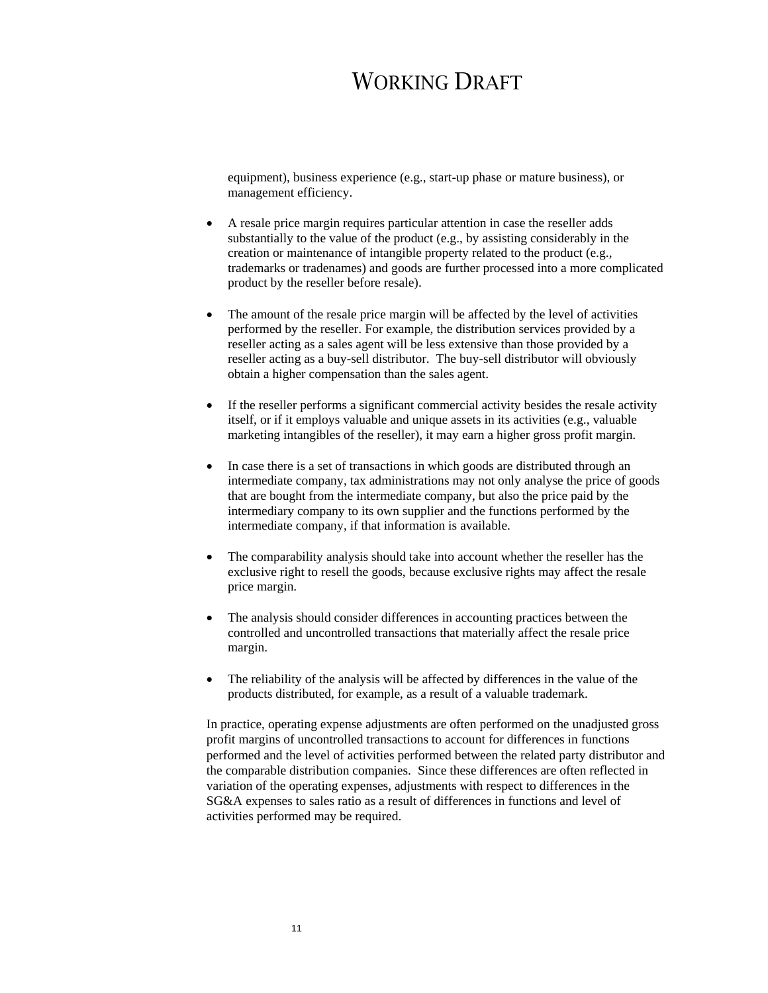equipment), business experience (e.g., start-up phase or mature business), or management efficiency.

- A resale price margin requires particular attention in case the reseller adds substantially to the value of the product (e.g., by assisting considerably in the creation or maintenance of intangible property related to the product (e.g., trademarks or tradenames) and goods are further processed into a more complicated product by the reseller before resale).
- The amount of the resale price margin will be affected by the level of activities performed by the reseller. For example, the distribution services provided by a reseller acting as a sales agent will be less extensive than those provided by a reseller acting as a buy-sell distributor. The buy-sell distributor will obviously obtain a higher compensation than the sales agent.
- If the reseller performs a significant commercial activity besides the resale activity itself, or if it employs valuable and unique assets in its activities (e.g., valuable marketing intangibles of the reseller), it may earn a higher gross profit margin.
- In case there is a set of transactions in which goods are distributed through an intermediate company, tax administrations may not only analyse the price of goods that are bought from the intermediate company, but also the price paid by the intermediary company to its own supplier and the functions performed by the intermediate company, if that information is available.
- The comparability analysis should take into account whether the reseller has the exclusive right to resell the goods, because exclusive rights may affect the resale price margin.
- The analysis should consider differences in accounting practices between the controlled and uncontrolled transactions that materially affect the resale price margin.
- The reliability of the analysis will be affected by differences in the value of the products distributed, for example, as a result of a valuable trademark.

In practice, operating expense adjustments are often performed on the unadjusted gross profit margins of uncontrolled transactions to account for differences in functions performed and the level of activities performed between the related party distributor and the comparable distribution companies. Since these differences are often reflected in variation of the operating expenses, adjustments with respect to differences in the SG&A expenses to sales ratio as a result of differences in functions and level of activities performed may be required.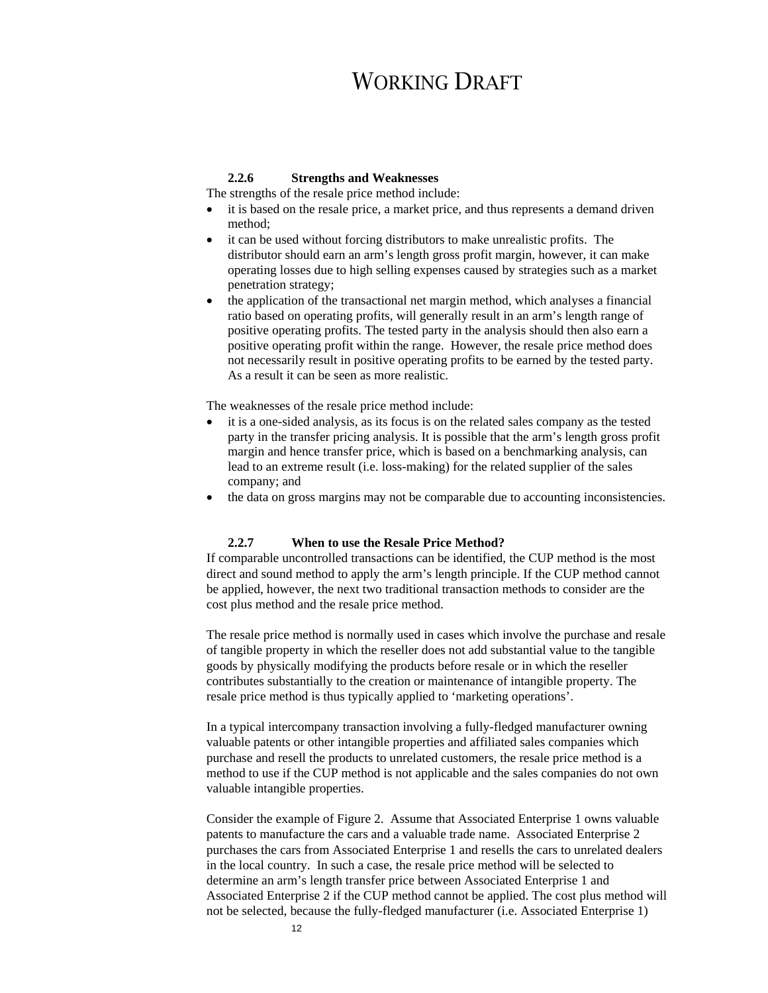### **2.2.6 Strengths and Weaknesses**

The strengths of the resale price method include:

- it is based on the resale price, a market price, and thus represents a demand driven method;
- it can be used without forcing distributors to make unrealistic profits. The distributor should earn an arm's length gross profit margin, however, it can make operating losses due to high selling expenses caused by strategies such as a market penetration strategy;
- the application of the transactional net margin method, which analyses a financial ratio based on operating profits, will generally result in an arm's length range of positive operating profits. The tested party in the analysis should then also earn a positive operating profit within the range. However, the resale price method does not necessarily result in positive operating profits to be earned by the tested party. As a result it can be seen as more realistic.

The weaknesses of the resale price method include:

- it is a one-sided analysis, as its focus is on the related sales company as the tested party in the transfer pricing analysis. It is possible that the arm's length gross profit margin and hence transfer price, which is based on a benchmarking analysis, can lead to an extreme result (i.e. loss-making) for the related supplier of the sales company; and
- the data on gross margins may not be comparable due to accounting inconsistencies.

### **2.2.7 When to use the Resale Price Method?**

If comparable uncontrolled transactions can be identified, the CUP method is the most direct and sound method to apply the arm's length principle. If the CUP method cannot be applied, however, the next two traditional transaction methods to consider are the cost plus method and the resale price method.

The resale price method is normally used in cases which involve the purchase and resale of tangible property in which the reseller does not add substantial value to the tangible goods by physically modifying the products before resale or in which the reseller contributes substantially to the creation or maintenance of intangible property. The resale price method is thus typically applied to 'marketing operations'.

In a typical intercompany transaction involving a fully-fledged manufacturer owning valuable patents or other intangible properties and affiliated sales companies which purchase and resell the products to unrelated customers, the resale price method is a method to use if the CUP method is not applicable and the sales companies do not own valuable intangible properties.

Consider the example of Figure 2. Assume that Associated Enterprise 1 owns valuable patents to manufacture the cars and a valuable trade name. Associated Enterprise 2 purchases the cars from Associated Enterprise 1 and resells the cars to unrelated dealers in the local country. In such a case, the resale price method will be selected to determine an arm's length transfer price between Associated Enterprise 1 and Associated Enterprise 2 if the CUP method cannot be applied. The cost plus method will not be selected, because the fully-fledged manufacturer (i.e. Associated Enterprise 1)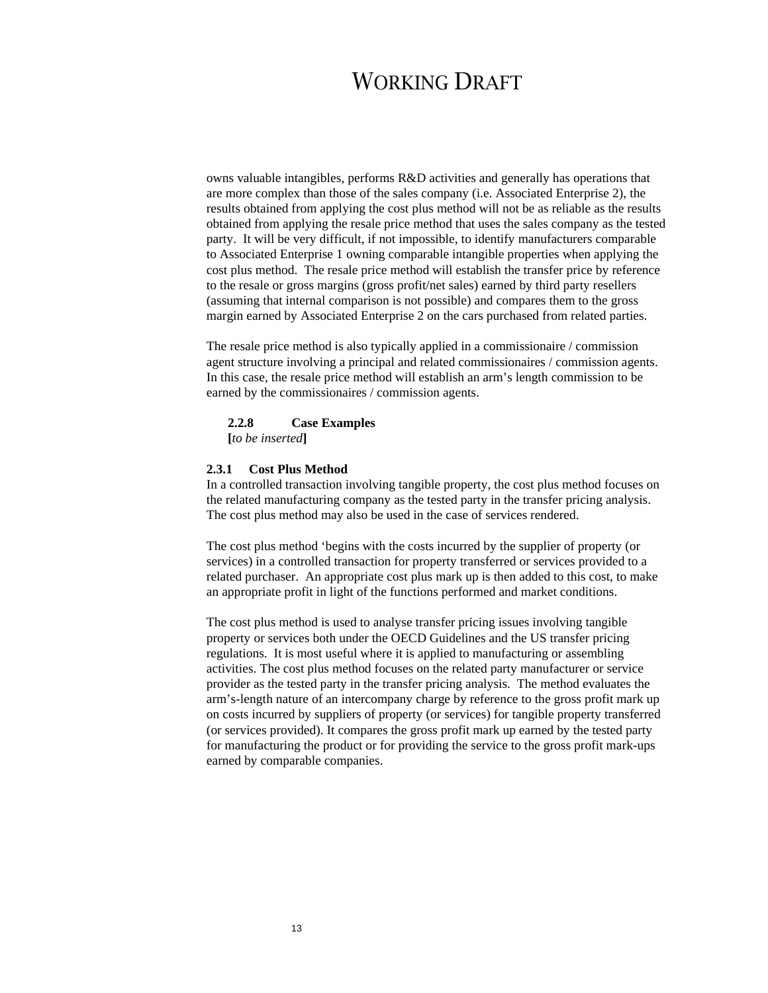owns valuable intangibles, performs R&D activities and generally has operations that are more complex than those of the sales company (i.e. Associated Enterprise 2), the results obtained from applying the cost plus method will not be as reliable as the results obtained from applying the resale price method that uses the sales company as the tested party. It will be very difficult, if not impossible, to identify manufacturers comparable to Associated Enterprise 1 owning comparable intangible properties when applying the cost plus method. The resale price method will establish the transfer price by reference to the resale or gross margins (gross profit/net sales) earned by third party resellers (assuming that internal comparison is not possible) and compares them to the gross margin earned by Associated Enterprise 2 on the cars purchased from related parties.

The resale price method is also typically applied in a commissionaire / commission agent structure involving a principal and related commissionaires / commission agents. In this case, the resale price method will establish an arm's length commission to be earned by the commissionaires / commission agents.

#### **2.2.8 Case Examples**

**[***to be inserted***]** 

### **2.3.1 Cost Plus Method**

In a controlled transaction involving tangible property, the cost plus method focuses on the related manufacturing company as the tested party in the transfer pricing analysis. The cost plus method may also be used in the case of services rendered.

The cost plus method 'begins with the costs incurred by the supplier of property (or services) in a controlled transaction for property transferred or services provided to a related purchaser. An appropriate cost plus mark up is then added to this cost, to make an appropriate profit in light of the functions performed and market conditions.

The cost plus method is used to analyse transfer pricing issues involving tangible property or services both under the OECD Guidelines and the US transfer pricing regulations. It is most useful where it is applied to manufacturing or assembling activities. The cost plus method focuses on the related party manufacturer or service provider as the tested party in the transfer pricing analysis. The method evaluates the arm's-length nature of an intercompany charge by reference to the gross profit mark up on costs incurred by suppliers of property (or services) for tangible property transferred (or services provided). It compares the gross profit mark up earned by the tested party for manufacturing the product or for providing the service to the gross profit mark-ups earned by comparable companies.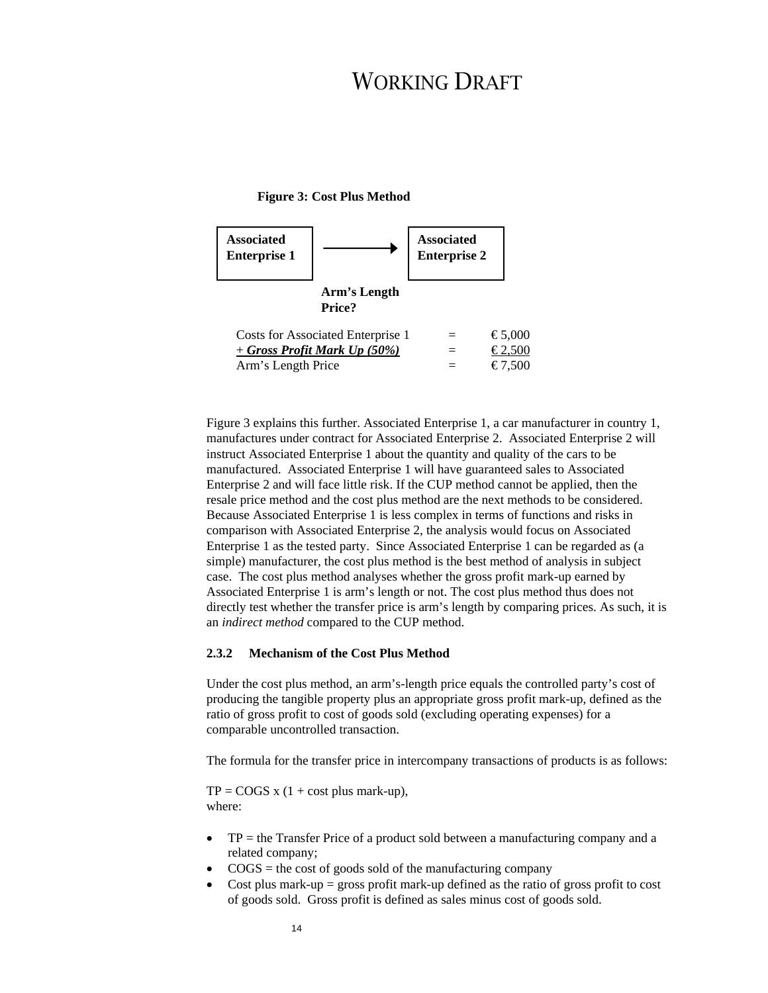### **Figure 3: Cost Plus Method**



Figure 3 explains this further. Associated Enterprise 1, a car manufacturer in country 1, manufactures under contract for Associated Enterprise 2. Associated Enterprise 2 will instruct Associated Enterprise 1 about the quantity and quality of the cars to be manufactured. Associated Enterprise 1 will have guaranteed sales to Associated Enterprise 2 and will face little risk. If the CUP method cannot be applied, then the resale price method and the cost plus method are the next methods to be considered. Because Associated Enterprise 1 is less complex in terms of functions and risks in comparison with Associated Enterprise 2, the analysis would focus on Associated Enterprise 1 as the tested party. Since Associated Enterprise 1 can be regarded as (a simple) manufacturer, the cost plus method is the best method of analysis in subject case. The cost plus method analyses whether the gross profit mark-up earned by Associated Enterprise 1 is arm's length or not. The cost plus method thus does not directly test whether the transfer price is arm's length by comparing prices. As such, it is an *indirect method* compared to the CUP method.

### **2.3.2 Mechanism of the Cost Plus Method**

Under the cost plus method, an arm's-length price equals the controlled party's cost of producing the tangible property plus an appropriate gross profit mark-up, defined as the ratio of gross profit to cost of goods sold (excluding operating expenses) for a comparable uncontrolled transaction.

The formula for the transfer price in intercompany transactions of products is as follows:

 $TP = \text{COGS} \times (1 + \text{cost plus mark-up}),$ where:

- $TP =$  the Transfer Price of a product sold between a manufacturing company and a related company;
- $\bullet$  COGS = the cost of goods sold of the manufacturing company
- Cost plus mark-up = gross profit mark-up defined as the ratio of gross profit to cost of goods sold. Gross profit is defined as sales minus cost of goods sold.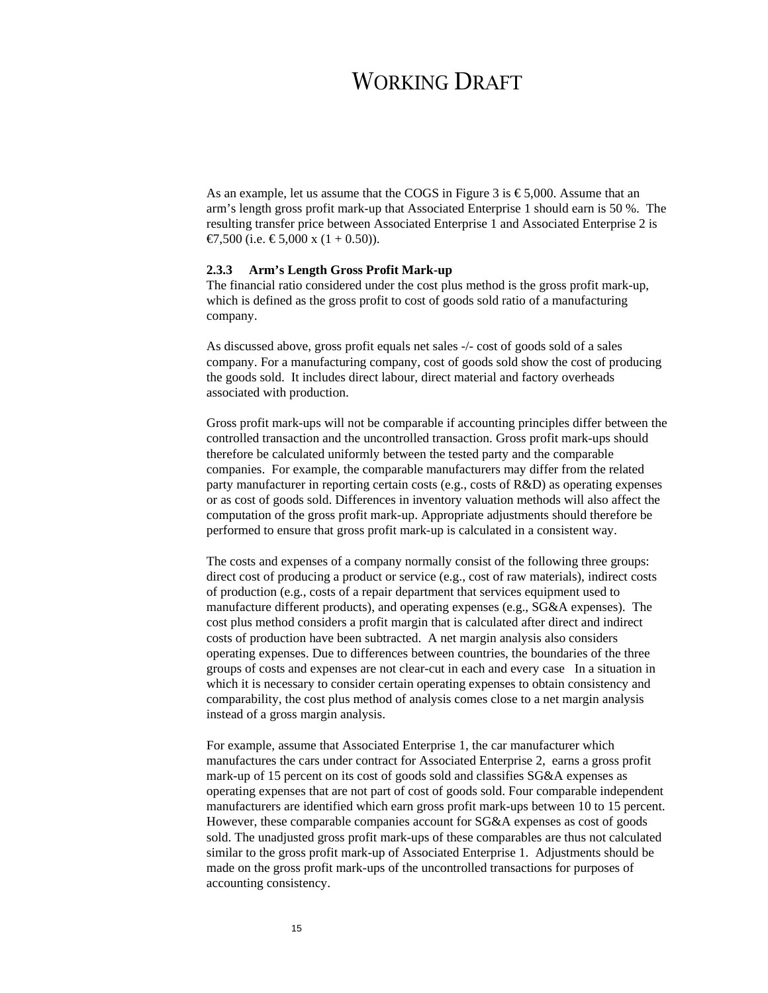As an example, let us assume that the COGS in Figure 3 is  $\epsilon$ 5,000. Assume that an arm's length gross profit mark-up that Associated Enterprise 1 should earn is 50 %. The resulting transfer price between Associated Enterprise 1 and Associated Enterprise 2 is €7,500 (i.e. €5,000 x (1 + 0.50)).

### **2.3.3 Arm's Length Gross Profit Mark-up**

The financial ratio considered under the cost plus method is the gross profit mark-up, which is defined as the gross profit to cost of goods sold ratio of a manufacturing company.

As discussed above, gross profit equals net sales -/- cost of goods sold of a sales company. For a manufacturing company, cost of goods sold show the cost of producing the goods sold. It includes direct labour, direct material and factory overheads associated with production.

Gross profit mark-ups will not be comparable if accounting principles differ between the controlled transaction and the uncontrolled transaction. Gross profit mark-ups should therefore be calculated uniformly between the tested party and the comparable companies. For example, the comparable manufacturers may differ from the related party manufacturer in reporting certain costs (e.g., costs of R&D) as operating expenses or as cost of goods sold. Differences in inventory valuation methods will also affect the computation of the gross profit mark-up. Appropriate adjustments should therefore be performed to ensure that gross profit mark-up is calculated in a consistent way.

The costs and expenses of a company normally consist of the following three groups: direct cost of producing a product or service (e.g., cost of raw materials), indirect costs of production (e.g., costs of a repair department that services equipment used to manufacture different products), and operating expenses (e.g., SG&A expenses). The cost plus method considers a profit margin that is calculated after direct and indirect costs of production have been subtracted. A net margin analysis also considers operating expenses. Due to differences between countries, the boundaries of the three groups of costs and expenses are not clear-cut in each and every case In a situation in which it is necessary to consider certain operating expenses to obtain consistency and comparability, the cost plus method of analysis comes close to a net margin analysis instead of a gross margin analysis.

For example, assume that Associated Enterprise 1, the car manufacturer which manufactures the cars under contract for Associated Enterprise 2, earns a gross profit mark-up of 15 percent on its cost of goods sold and classifies SG&A expenses as operating expenses that are not part of cost of goods sold. Four comparable independent manufacturers are identified which earn gross profit mark-ups between 10 to 15 percent. However, these comparable companies account for SG&A expenses as cost of goods sold. The unadjusted gross profit mark-ups of these comparables are thus not calculated similar to the gross profit mark-up of Associated Enterprise 1. Adjustments should be made on the gross profit mark-ups of the uncontrolled transactions for purposes of accounting consistency.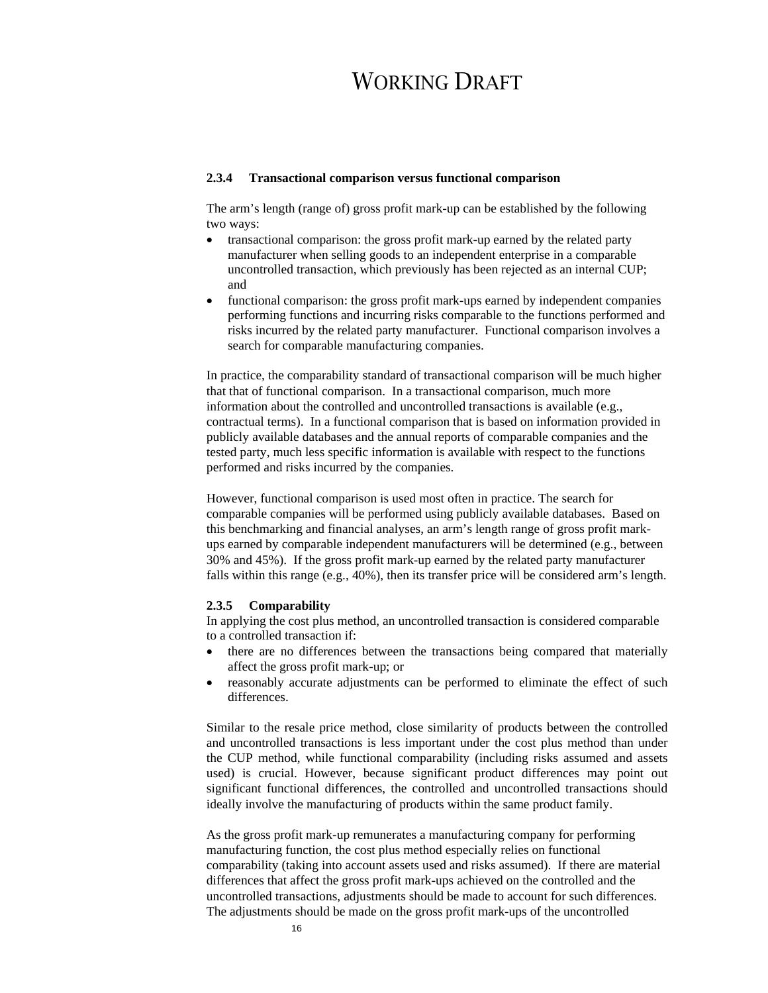#### **2.3.4 Transactional comparison versus functional comparison**

The arm's length (range of) gross profit mark-up can be established by the following two ways:

- transactional comparison: the gross profit mark-up earned by the related party manufacturer when selling goods to an independent enterprise in a comparable uncontrolled transaction, which previously has been rejected as an internal CUP; and
- functional comparison: the gross profit mark-ups earned by independent companies performing functions and incurring risks comparable to the functions performed and risks incurred by the related party manufacturer. Functional comparison involves a search for comparable manufacturing companies.

In practice, the comparability standard of transactional comparison will be much higher that that of functional comparison. In a transactional comparison, much more information about the controlled and uncontrolled transactions is available (e.g., contractual terms). In a functional comparison that is based on information provided in publicly available databases and the annual reports of comparable companies and the tested party, much less specific information is available with respect to the functions performed and risks incurred by the companies.

However, functional comparison is used most often in practice. The search for comparable companies will be performed using publicly available databases. Based on this benchmarking and financial analyses, an arm's length range of gross profit markups earned by comparable independent manufacturers will be determined (e.g., between 30% and 45%). If the gross profit mark-up earned by the related party manufacturer falls within this range  $(e.g., 40\%)$ , then its transfer price will be considered arm's length.

### **2.3.5 Comparability**

In applying the cost plus method, an uncontrolled transaction is considered comparable to a controlled transaction if:

- there are no differences between the transactions being compared that materially affect the gross profit mark-up; or
- reasonably accurate adjustments can be performed to eliminate the effect of such differences.

Similar to the resale price method, close similarity of products between the controlled and uncontrolled transactions is less important under the cost plus method than under the CUP method, while functional comparability (including risks assumed and assets used) is crucial. However, because significant product differences may point out significant functional differences, the controlled and uncontrolled transactions should ideally involve the manufacturing of products within the same product family.

As the gross profit mark-up remunerates a manufacturing company for performing manufacturing function, the cost plus method especially relies on functional comparability (taking into account assets used and risks assumed). If there are material differences that affect the gross profit mark-ups achieved on the controlled and the uncontrolled transactions, adjustments should be made to account for such differences. The adjustments should be made on the gross profit mark-ups of the uncontrolled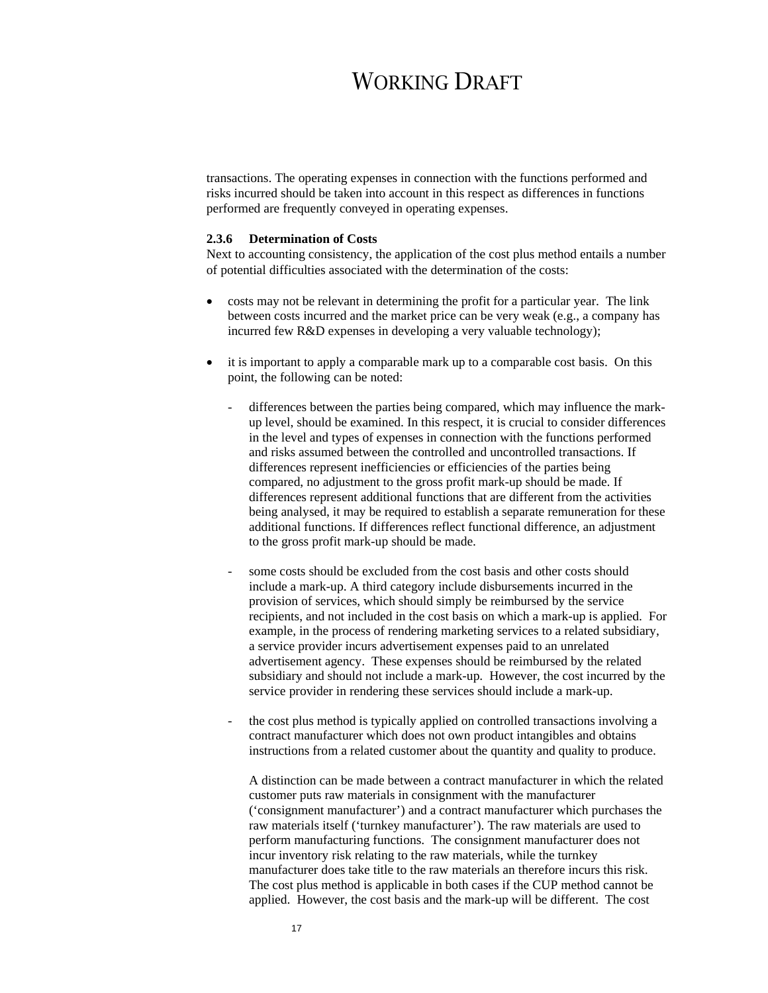transactions. The operating expenses in connection with the functions performed and risks incurred should be taken into account in this respect as differences in functions performed are frequently conveyed in operating expenses.

### **2.3.6 Determination of Costs**

Next to accounting consistency, the application of the cost plus method entails a number of potential difficulties associated with the determination of the costs:

- costs may not be relevant in determining the profit for a particular year. The link between costs incurred and the market price can be very weak (e.g., a company has incurred few R&D expenses in developing a very valuable technology);
- it is important to apply a comparable mark up to a comparable cost basis. On this point, the following can be noted:
	- differences between the parties being compared, which may influence the markup level, should be examined. In this respect, it is crucial to consider differences in the level and types of expenses in connection with the functions performed and risks assumed between the controlled and uncontrolled transactions. If differences represent inefficiencies or efficiencies of the parties being compared, no adjustment to the gross profit mark-up should be made. If differences represent additional functions that are different from the activities being analysed, it may be required to establish a separate remuneration for these additional functions. If differences reflect functional difference, an adjustment to the gross profit mark-up should be made.
	- some costs should be excluded from the cost basis and other costs should include a mark-up. A third category include disbursements incurred in the provision of services, which should simply be reimbursed by the service recipients, and not included in the cost basis on which a mark-up is applied. For example, in the process of rendering marketing services to a related subsidiary, a service provider incurs advertisement expenses paid to an unrelated advertisement agency. These expenses should be reimbursed by the related subsidiary and should not include a mark-up. However, the cost incurred by the service provider in rendering these services should include a mark-up.
	- the cost plus method is typically applied on controlled transactions involving a contract manufacturer which does not own product intangibles and obtains instructions from a related customer about the quantity and quality to produce.

A distinction can be made between a contract manufacturer in which the related customer puts raw materials in consignment with the manufacturer ('consignment manufacturer') and a contract manufacturer which purchases the raw materials itself ('turnkey manufacturer'). The raw materials are used to perform manufacturing functions. The consignment manufacturer does not incur inventory risk relating to the raw materials, while the turnkey manufacturer does take title to the raw materials an therefore incurs this risk. The cost plus method is applicable in both cases if the CUP method cannot be applied. However, the cost basis and the mark-up will be different. The cost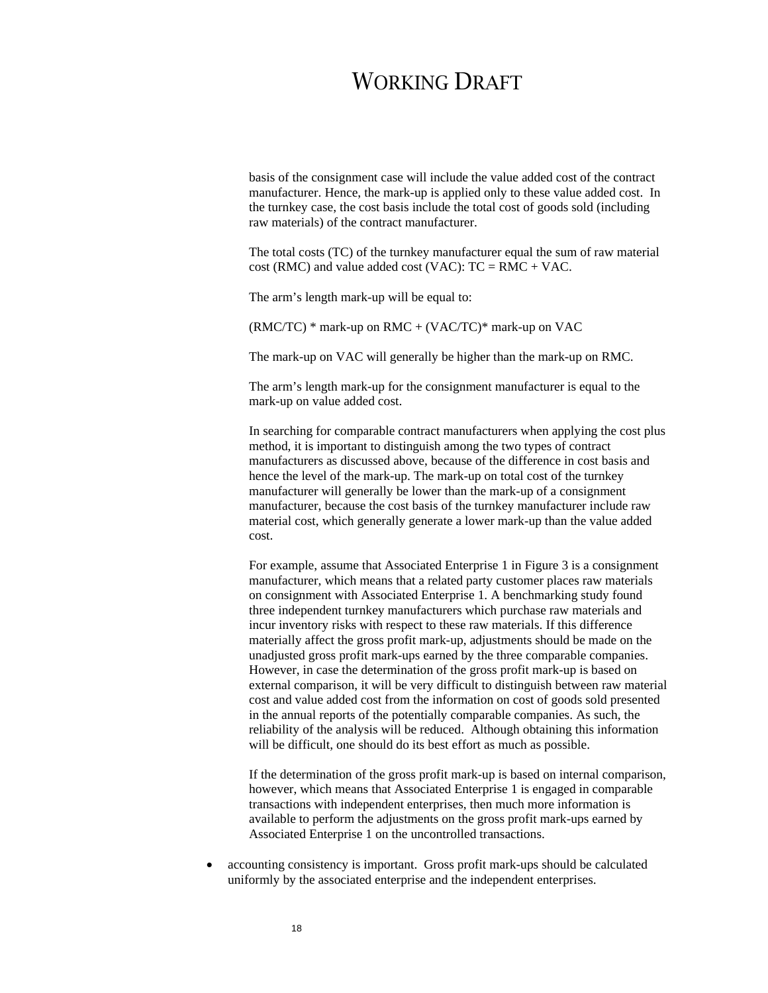basis of the consignment case will include the value added cost of the contract manufacturer. Hence, the mark-up is applied only to these value added cost. In the turnkey case, the cost basis include the total cost of goods sold (including raw materials) of the contract manufacturer.

The total costs (TC) of the turnkey manufacturer equal the sum of raw material cost (RMC) and value added cost (VAC):  $TC = RMC + VAC$ .

The arm's length mark-up will be equal to:

 $(RMC/TC)$  \* mark-up on  $RMC + (VAC/TC)$  \* mark-up on  $VAC$ 

The mark-up on VAC will generally be higher than the mark-up on RMC.

The arm's length mark-up for the consignment manufacturer is equal to the mark-up on value added cost.

In searching for comparable contract manufacturers when applying the cost plus method, it is important to distinguish among the two types of contract manufacturers as discussed above, because of the difference in cost basis and hence the level of the mark-up. The mark-up on total cost of the turnkey manufacturer will generally be lower than the mark-up of a consignment manufacturer, because the cost basis of the turnkey manufacturer include raw material cost, which generally generate a lower mark-up than the value added cost.

For example, assume that Associated Enterprise 1 in Figure 3 is a consignment manufacturer, which means that a related party customer places raw materials on consignment with Associated Enterprise 1. A benchmarking study found three independent turnkey manufacturers which purchase raw materials and incur inventory risks with respect to these raw materials. If this difference materially affect the gross profit mark-up, adjustments should be made on the unadjusted gross profit mark-ups earned by the three comparable companies. However, in case the determination of the gross profit mark-up is based on external comparison, it will be very difficult to distinguish between raw material cost and value added cost from the information on cost of goods sold presented in the annual reports of the potentially comparable companies. As such, the reliability of the analysis will be reduced. Although obtaining this information will be difficult, one should do its best effort as much as possible.

If the determination of the gross profit mark-up is based on internal comparison, however, which means that Associated Enterprise 1 is engaged in comparable transactions with independent enterprises, then much more information is available to perform the adjustments on the gross profit mark-ups earned by Associated Enterprise 1 on the uncontrolled transactions.

• accounting consistency is important. Gross profit mark-ups should be calculated uniformly by the associated enterprise and the independent enterprises.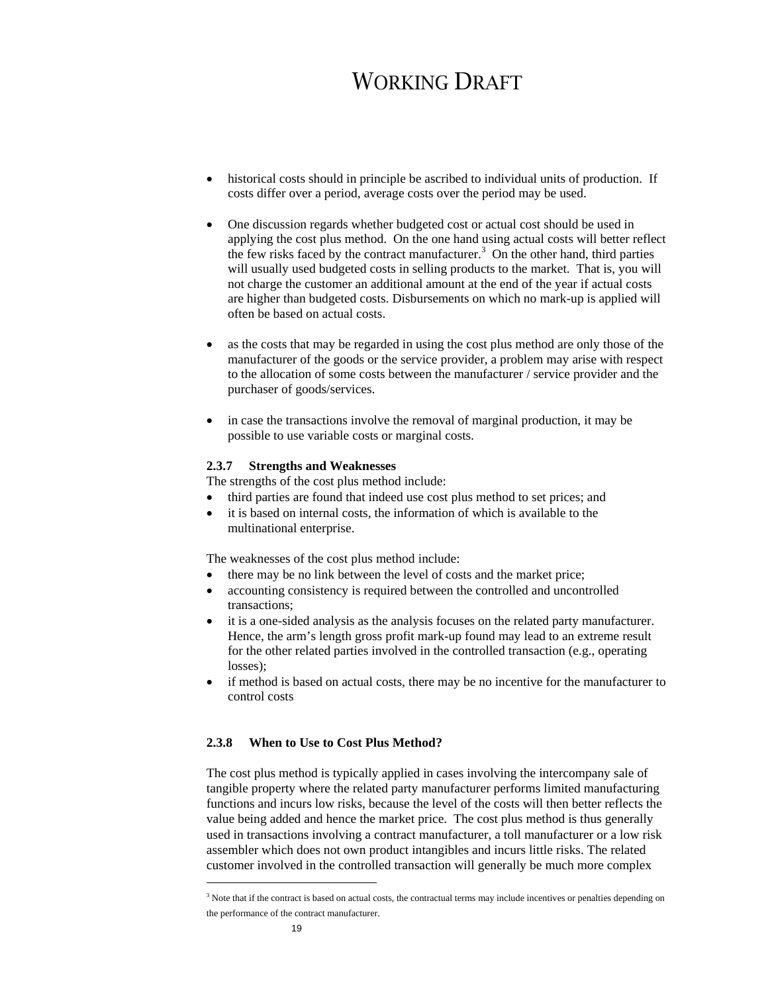- historical costs should in principle be ascribed to individual units of production. If costs differ over a period, average costs over the period may be used.
- One discussion regards whether budgeted cost or actual cost should be used in applying the cost plus method. On the one hand using actual costs will better reflect the few risks faced by the contract manufacturer.<sup>3</sup> On the other hand, third parties will usually used budgeted costs in selling products to the market. That is, you will not charge the customer an additional amount at the end of the year if actual costs are higher than budgeted costs. Disbursements on which no mark-up is applied will often be based on actual costs.
- as the costs that may be regarded in using the cost plus method are only those of the manufacturer of the goods or the service provider, a problem may arise with respect to the allocation of some costs between the manufacturer / service provider and the purchaser of goods/services.
- in case the transactions involve the removal of marginal production, it may be possible to use variable costs or marginal costs.

#### **2.3.7 Strengths and Weaknesses**

The strengths of the cost plus method include:

- third parties are found that indeed use cost plus method to set prices; and
- it is based on internal costs, the information of which is available to the multinational enterprise.

The weaknesses of the cost plus method include:

- there may be no link between the level of costs and the market price;
- accounting consistency is required between the controlled and uncontrolled transactions;
- it is a one-sided analysis as the analysis focuses on the related party manufacturer. Hence, the arm's length gross profit mark-up found may lead to an extreme result for the other related parties involved in the controlled transaction (e.g., operating losses);
- if method is based on actual costs, there may be no incentive for the manufacturer to control costs

### **2.3.8 When to Use to Cost Plus Method?**

The cost plus method is typically applied in cases involving the intercompany sale of tangible property where the related party manufacturer performs limited manufacturing functions and incurs low risks, because the level of the costs will then better reflects the value being added and hence the market price. The cost plus method is thus generally used in transactions involving a contract manufacturer, a toll manufacturer or a low risk assembler which does not own product intangibles and incurs little risks. The related customer involved in the controlled transaction will generally be much more complex

l

<sup>&</sup>lt;sup>3</sup> Note that if the contract is based on actual costs, the contractual terms may include incentives or penalties depending on the performance of the contract manufacturer.